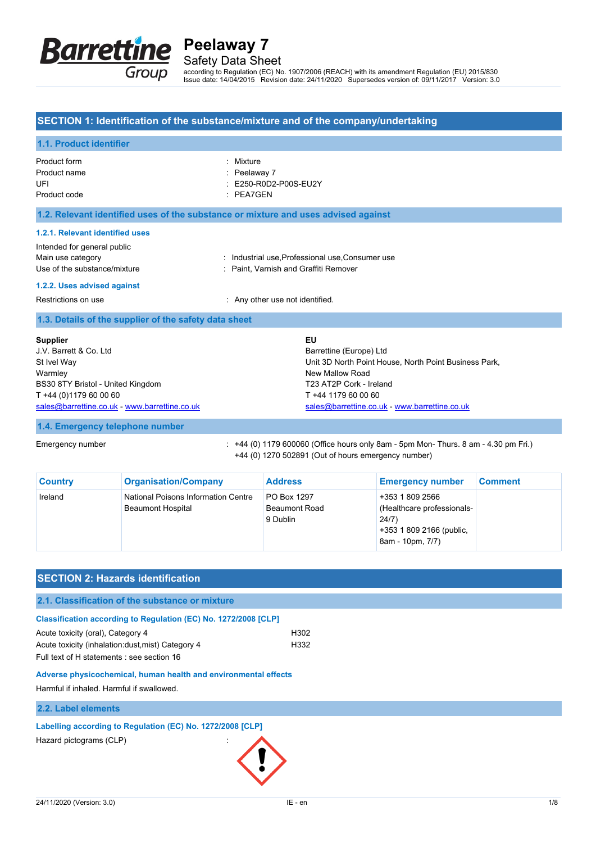

Safety Data Sheet

according to Regulation (EC) No. 1907/2006 (REACH) with its amendment Regulation (EU) 2015/830 Issue date: 14/04/2015 Revision date: 24/11/2020 Supersedes version of: 09/11/2017 Version: 3.0

## **SECTION 1: Identification of the substance/mixture and of the company/undertaking**

| 1.1. Product identifier                                                                                                                                                                                                 |                                                                                                                                                                                                              |  |
|-------------------------------------------------------------------------------------------------------------------------------------------------------------------------------------------------------------------------|--------------------------------------------------------------------------------------------------------------------------------------------------------------------------------------------------------------|--|
| Product form<br>Product name<br>UFI<br>Product code                                                                                                                                                                     | Mixture<br>Peelaway 7<br>E250-R0D2-P00S-EU2Y<br>PEA7GEN<br>÷.                                                                                                                                                |  |
| 1.2. Relevant identified uses of the substance or mixture and uses advised against                                                                                                                                      |                                                                                                                                                                                                              |  |
| 1.2.1. Relevant identified uses<br>Intended for general public<br>Main use category<br>Use of the substance/mixture                                                                                                     | : Industrial use, Professional use, Consumer use<br>: Paint, Varnish and Graffiti Remover                                                                                                                    |  |
| 1.2.2. Uses advised against<br>Restrictions on use                                                                                                                                                                      | : Any other use not identified.                                                                                                                                                                              |  |
| 1.3. Details of the supplier of the safety data sheet                                                                                                                                                                   |                                                                                                                                                                                                              |  |
| <b>Supplier</b><br>J.V. Barrett & Co. Ltd.<br>St Ivel Way<br>Warmley<br>BS30 8TY Bristol - United Kingdom<br>T +44 (0)1179 60 00 60<br>sales@barrettine.co.uk - www.barrettine.co.uk<br>1.4. Emergency telephone number | EU<br>Barrettine (Europe) Ltd<br>Unit 3D North Point House, North Point Business Park,<br>New Mallow Road<br>T23 AT2P Cork - Ireland<br>T +44 1179 60 00 60<br>sales@barrettine.co.uk - www.barrettine.co.uk |  |
| Emergency number                                                                                                                                                                                                        | $: +44$ (0) 1179 600060 (Office hours only 8am - 5pm Mon- Thurs. 8 am - 4.30 pm Fri.)<br>+44 (0) 1270 502891 (Out of hours emergency number)                                                                 |  |

| <b>Country</b> | <b>Organisation/Company</b>                                     | <b>Address</b>                                  | <b>Emergency number</b>                                                                                | <b>Comment</b> |
|----------------|-----------------------------------------------------------------|-------------------------------------------------|--------------------------------------------------------------------------------------------------------|----------------|
| Ireland        | National Poisons Information Centre<br><b>Beaumont Hospital</b> | PO Box 1297<br><b>Beaumont Road</b><br>9 Dublin | +353 1 809 2566<br>(Healthcare professionals-<br>24/7)<br>+353 1 809 2166 (public,<br>8am - 10pm, 7/7) |                |

| <b>SECTION 2: Hazards identification</b>                        |      |  |  |
|-----------------------------------------------------------------|------|--|--|
| 2.1. Classification of the substance or mixture                 |      |  |  |
| Classification according to Regulation (EC) No. 1272/2008 [CLP] |      |  |  |
| Acute toxicity (oral), Category 4                               | H302 |  |  |
| Acute toxicity (inhalation: dust, mist) Category 4              | H332 |  |  |
| Full text of H statements : see section 16                      |      |  |  |
| Adverse physicochemical, human health and environmental effects |      |  |  |
| Harmful if inhaled. Harmful if swallowed.                       |      |  |  |
|                                                                 |      |  |  |

## **2.2. Label elements**

## **Labelling according to Regulation (EC) No. 1272/2008 [CLP]**

Hazard pictograms (CLP)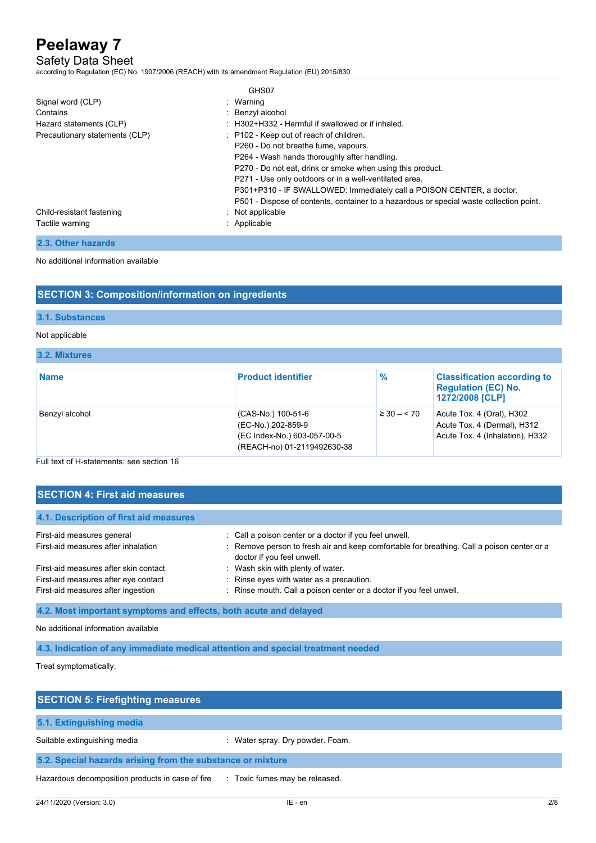## Safety Data Sheet

according to Regulation (EC) No. 1907/2006 (REACH) with its amendment Regulation (EU) 2015/830

|                                | GHS07                                                                                   |
|--------------------------------|-----------------------------------------------------------------------------------------|
| Signal word (CLP)              | : Warning                                                                               |
| Contains                       | : Benzyl alcohol                                                                        |
| Hazard statements (CLP)        | : H302+H332 - Harmful if swallowed or if inhaled.                                       |
| Precautionary statements (CLP) | : P102 - Keep out of reach of children.                                                 |
|                                | P260 - Do not breathe fume, vapours.                                                    |
|                                | P264 - Wash hands thoroughly after handling.                                            |
|                                | P270 - Do not eat, drink or smoke when using this product.                              |
|                                | P271 - Use only outdoors or in a well-ventilated area.                                  |
|                                | P301+P310 - IF SWALLOWED: Immediately call a POISON CENTER, a doctor.                   |
|                                | P501 - Dispose of contents, container to a hazardous or special waste collection point. |
| Child-resistant fastening      | : Not applicable                                                                        |
| Tactile warning                | : Applicable                                                                            |
|                                |                                                                                         |

**2.3. Other hazards**

No additional information available

# **SECTION 3: Composition/information on ingredients**

#### **3.1. Substances**

#### Not applicable

### **3.2. Mixtures**

| <b>Name</b>    | <b>Product identifier</b>                                                                              | %               | <b>Classification according to</b><br><b>Regulation (EC) No.</b><br>1272/2008 [CLP]         |
|----------------|--------------------------------------------------------------------------------------------------------|-----------------|---------------------------------------------------------------------------------------------|
| Benzyl alcohol | (CAS-No.) 100-51-6<br>(EC-No.) 202-859-9<br>(EC Index-No.) 603-057-00-5<br>(REACH-no) 01-2119492630-38 | $\geq 30 - 570$ | Acute Tox. 4 (Oral), H302<br>Acute Tox. 4 (Dermal), H312<br>Acute Tox. 4 (Inhalation), H332 |

Full text of H-statements: see section 16

| <b>SECTION 4: First aid measures</b>   |                                                                                                                          |  |
|----------------------------------------|--------------------------------------------------------------------------------------------------------------------------|--|
|                                        |                                                                                                                          |  |
| 4.1. Description of first aid measures |                                                                                                                          |  |
| First-aid measures general             | : Call a poison center or a doctor if you feel unwell.                                                                   |  |
| First-aid measures after inhalation    | : Remove person to fresh air and keep comfortable for breathing. Call a poison center or a<br>doctor if you feel unwell. |  |
| First-aid measures after skin contact  | : Wash skin with plenty of water.                                                                                        |  |
| First-aid measures after eye contact   | : Rinse eyes with water as a precaution.                                                                                 |  |
| First-aid measures after ingestion     | : Rinse mouth. Call a poison center or a doctor if you feel unwell.                                                      |  |

**4.2. Most important symptoms and effects, both acute and delayed**

No additional information available

**4.3. Indication of any immediate medical attention and special treatment needed**

Treat symptomatically.

| <b>SECTION 5: Firefighting measures</b>                                            |                                  |
|------------------------------------------------------------------------------------|----------------------------------|
| 5.1. Extinguishing media                                                           |                                  |
| Suitable extinguishing media                                                       | : Water spray. Dry powder. Foam. |
| 5.2. Special hazards arising from the substance or mixture                         |                                  |
| Hazardous decomposition products in case of fire<br>: Toxic fumes may be released. |                                  |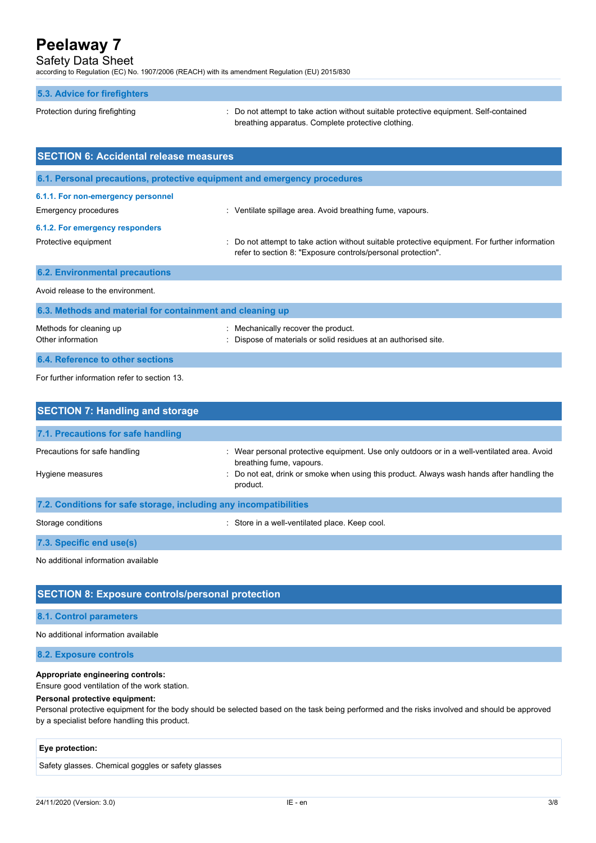# Safety Data Sheet

according to Regulation (EC) No. 1907/2006 (REACH) with its amendment Regulation (EU) 2015/830

## **5.3. Advice for firefighters**

Protection during firefighting  $\cdot$  Do not attempt to take action without suitable protective equipment. Self-contained breathing apparatus. Complete protective clothing.

| <b>SECTION 6: Accidental release measures</b>             |                                                                                                                                                              |  |
|-----------------------------------------------------------|--------------------------------------------------------------------------------------------------------------------------------------------------------------|--|
|                                                           | 6.1. Personal precautions, protective equipment and emergency procedures                                                                                     |  |
| 6.1.1. For non-emergency personnel                        |                                                                                                                                                              |  |
| <b>Emergency procedures</b>                               | Ventilate spillage area. Avoid breathing fume, vapours.                                                                                                      |  |
| 6.1.2. For emergency responders                           |                                                                                                                                                              |  |
| Protective equipment                                      | Do not attempt to take action without suitable protective equipment. For further information<br>refer to section 8: "Exposure controls/personal protection". |  |
| <b>6.2. Environmental precautions</b>                     |                                                                                                                                                              |  |
| Avoid release to the environment.                         |                                                                                                                                                              |  |
| 6.3. Methods and material for containment and cleaning up |                                                                                                                                                              |  |

| Methods for cleaning up          | : Mechanically recover the product.                             |
|----------------------------------|-----------------------------------------------------------------|
| Other information                | : Dispose of materials or solid residues at an authorised site. |
| 6.4. Reference to other sections |                                                                 |

For further information refer to section 13.

| <b>SECTION 7: Handling and storage</b>                            |                                                                                                                         |  |  |
|-------------------------------------------------------------------|-------------------------------------------------------------------------------------------------------------------------|--|--|
| 7.1. Precautions for safe handling                                |                                                                                                                         |  |  |
| Precautions for safe handling                                     | : Wear personal protective equipment. Use only outdoors or in a well-ventilated area. Avoid<br>breathing fume, vapours. |  |  |
| Hygiene measures                                                  | : Do not eat, drink or smoke when using this product. Always wash hands after handling the<br>product.                  |  |  |
| 7.2. Conditions for safe storage, including any incompatibilities |                                                                                                                         |  |  |
| Storage conditions                                                | Store in a well-ventilated place. Keep cool.                                                                            |  |  |

**7.3. Specific end use(s)**

No additional information available

# **SECTION 8: Exposure controls/personal protection**

## **8.1. Control parameters**

No additional information available

**8.2. Exposure controls**

## **Appropriate engineering controls:**

Ensure good ventilation of the work station.

## **Personal protective equipment:**

Personal protective equipment for the body should be selected based on the task being performed and the risks involved and should be approved by a specialist before handling this product.

### **Eye protection:**

Safety glasses. Chemical goggles or safety glasses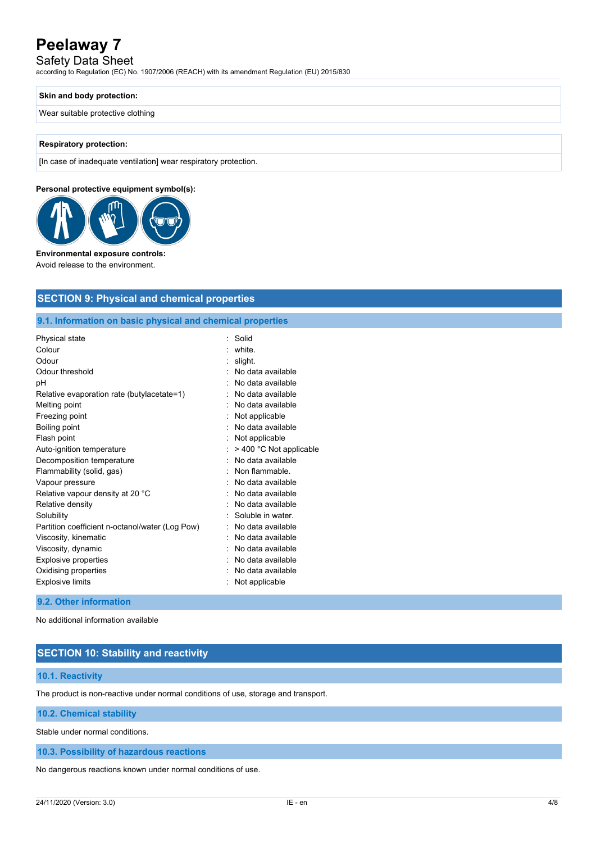# Safety Data Sheet

according to Regulation (EC) No. 1907/2006 (REACH) with its amendment Regulation (EU) 2015/830

#### **Skin and body protection:**

Wear suitable protective clothing

#### **Respiratory protection:**

[In case of inadequate ventilation] wear respiratory protection.

#### **Personal protective equipment symbol(s):**



#### **Environmental exposure controls:**

Avoid release to the environment.

## **SECTION 9: Physical and chemical properties**

## **9.1. Information on basic physical and chemical properties**

| Physical state                                  | Solid                   |
|-------------------------------------------------|-------------------------|
| Colour                                          | white.                  |
| Odour                                           | slight.                 |
| Odour threshold                                 | No data available       |
| рH                                              | No data available       |
| Relative evaporation rate (butylacetate=1)      | No data available       |
| Melting point                                   | No data available       |
| Freezing point                                  | Not applicable          |
| Boiling point                                   | No data available       |
| Flash point                                     | Not applicable          |
| Auto-ignition temperature                       | > 400 °C Not applicable |
| Decomposition temperature                       | No data available       |
| Flammability (solid, gas)                       | Non flammable.          |
| Vapour pressure                                 | No data available       |
| Relative vapour density at 20 °C                | No data available       |
| Relative density                                | No data available       |
| Solubility                                      | Soluble in water.       |
| Partition coefficient n-octanol/water (Log Pow) | No data available       |
| Viscosity, kinematic                            | No data available       |
| Viscosity, dynamic                              | No data available       |
| Explosive properties                            | No data available       |
| Oxidising properties                            | No data available       |
| <b>Explosive limits</b>                         | Not applicable          |
|                                                 |                         |

#### **9.2. Other information**

No additional information available

# **SECTION 10: Stability and reactivity**

#### **10.1. Reactivity**

The product is non-reactive under normal conditions of use, storage and transport.

**10.2. Chemical stability**

Stable under normal conditions.

#### **10.3. Possibility of hazardous reactions**

No dangerous reactions known under normal conditions of use.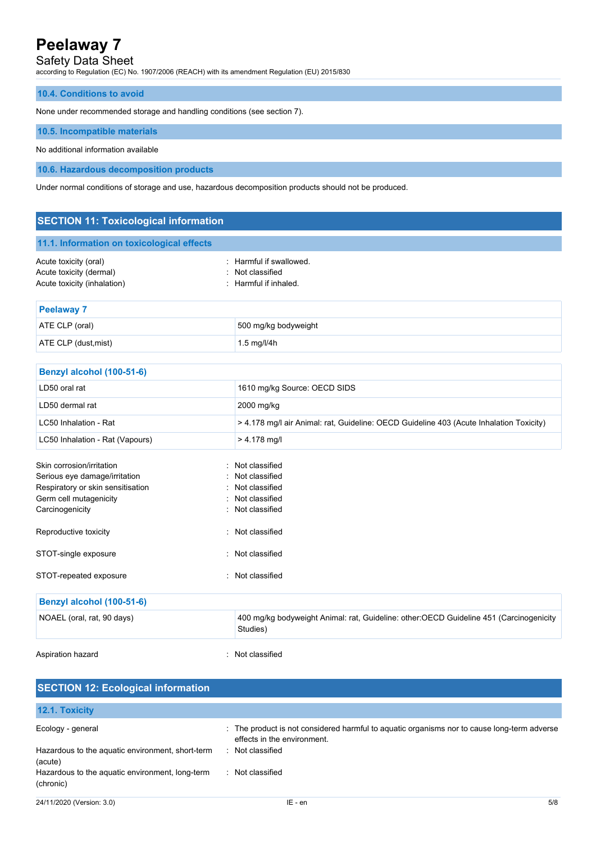# Safety Data Sheet

according to Regulation (EC) No. 1907/2006 (REACH) with its amendment Regulation (EU) 2015/830

### **10.4. Conditions to avoid**

None under recommended storage and handling conditions (see section 7).

#### **10.5. Incompatible materials**

No additional information available

**10.6. Hazardous decomposition products**

Under normal conditions of storage and use, hazardous decomposition products should not be produced.

| <b>SECTION 11: Toxicological information</b>                                                                                                 |                                                                                                    |  |
|----------------------------------------------------------------------------------------------------------------------------------------------|----------------------------------------------------------------------------------------------------|--|
| 11.1. Information on toxicological effects                                                                                                   |                                                                                                    |  |
| Acute toxicity (oral)<br>Acute toxicity (dermal)<br>Acute toxicity (inhalation)                                                              | : Harmful if swallowed.<br>Not classified<br>Harmful if inhaled.                                   |  |
| <b>Peelaway 7</b>                                                                                                                            |                                                                                                    |  |
| ATE CLP (oral)                                                                                                                               | 500 mg/kg bodyweight                                                                               |  |
| ATE CLP (dust, mist)                                                                                                                         | 1.5 mg/l/4h                                                                                        |  |
| Benzyl alcohol (100-51-6)                                                                                                                    |                                                                                                    |  |
| LD50 oral rat                                                                                                                                | 1610 mg/kg Source: OECD SIDS                                                                       |  |
| LD50 dermal rat                                                                                                                              | 2000 mg/kg                                                                                         |  |
| LC50 Inhalation - Rat                                                                                                                        | > 4.178 mg/l air Animal: rat, Guideline: OECD Guideline 403 (Acute Inhalation Toxicity)            |  |
| LC50 Inhalation - Rat (Vapours)                                                                                                              | $> 4.178$ mg/l                                                                                     |  |
| Skin corrosion/irritation<br>Serious eye damage/irritation<br>Respiratory or skin sensitisation<br>Germ cell mutagenicity<br>Carcinogenicity | Not classified<br>Not classified<br>Not classified<br>Not classified<br>Not classified             |  |
| Reproductive toxicity                                                                                                                        | Not classified                                                                                     |  |
| STOT-single exposure                                                                                                                         | : Not classified                                                                                   |  |
| STOT-repeated exposure                                                                                                                       | Not classified                                                                                     |  |
| Benzyl alcohol (100-51-6)                                                                                                                    |                                                                                                    |  |
| NOAEL (oral, rat, 90 days)                                                                                                                   | 400 mg/kg bodyweight Animal: rat, Guideline: other:OECD Guideline 451 (Carcinogenicity<br>Studies) |  |
| Aspiration hazard                                                                                                                            | : Not classified                                                                                   |  |

| <b>SECTION 12: Ecological information</b>                    |                                                                                                                            |     |  |
|--------------------------------------------------------------|----------------------------------------------------------------------------------------------------------------------------|-----|--|
| 12.1. Toxicity                                               |                                                                                                                            |     |  |
| Ecology - general                                            | : The product is not considered harmful to aguatic organisms nor to cause long-term adverse<br>effects in the environment. |     |  |
| Hazardous to the aquatic environment, short-term<br>(acute)  | : Not classified                                                                                                           |     |  |
| Hazardous to the aquatic environment, long-term<br>(chronic) | : Not classified                                                                                                           |     |  |
| 24/11/2020 (Version: 3.0)                                    | IE - en                                                                                                                    | 5/8 |  |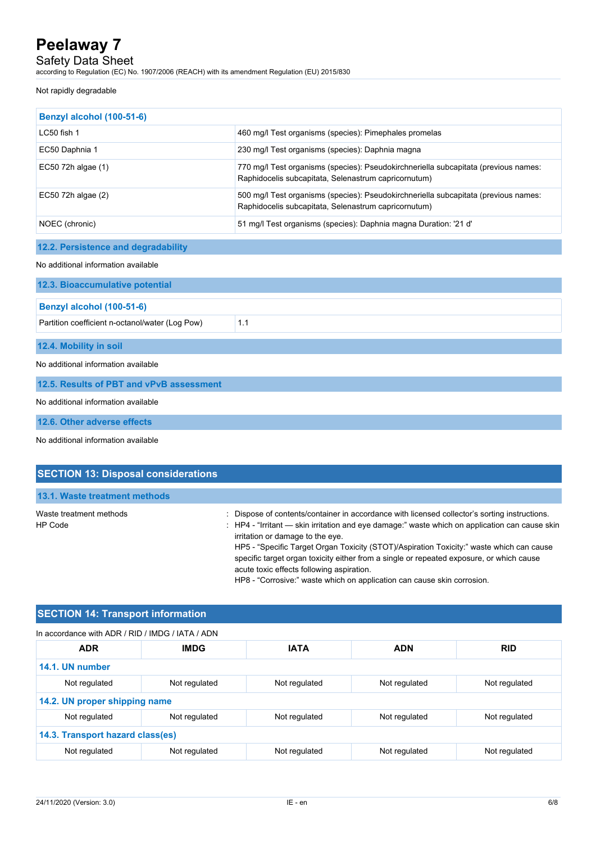Safety Data Sheet

according to Regulation (EC) No. 1907/2006 (REACH) with its amendment Regulation (EU) 2015/830

#### Not rapidly degradable

| Benzyl alcohol (100-51-6)           |                                                                                                                                             |  |
|-------------------------------------|---------------------------------------------------------------------------------------------------------------------------------------------|--|
| $LC50$ fish 1                       | 460 mg/l Test organisms (species): Pimephales promelas                                                                                      |  |
| EC50 Daphnia 1                      | 230 mg/l Test organisms (species): Daphnia magna                                                                                            |  |
| EC50 72h algae (1)                  | 770 mg/l Test organisms (species): Pseudokirchneriella subcapitata (previous names:<br>Raphidocelis subcapitata, Selenastrum capricornutum) |  |
| EC50 72h algae (2)                  | 500 mg/l Test organisms (species): Pseudokirchneriella subcapitata (previous names:<br>Raphidocelis subcapitata, Selenastrum capricornutum) |  |
| NOEC (chronic)                      | 51 mg/l Test organisms (species): Daphnia magna Duration: '21 d'                                                                            |  |
| 12.2. Persistence and degradability |                                                                                                                                             |  |
|                                     |                                                                                                                                             |  |
| No additional information available |                                                                                                                                             |  |
| 12.3. Bioaccumulative potential     |                                                                                                                                             |  |
| Benzyl alcohol (100-51-6)           |                                                                                                                                             |  |

Partition coefficient n-octanol/water (Log Pow) 1.1

**12.4. Mobility in soil**

No additional information available

**12.5. Results of PBT and vPvB assessment**

No additional information available

**12.6. Other adverse effects**

No additional information available

| <b>SECTION 13: Disposal considerations</b> |                                                                                                                                                                                                                                                                                                                                                                                                                                                                          |
|--------------------------------------------|--------------------------------------------------------------------------------------------------------------------------------------------------------------------------------------------------------------------------------------------------------------------------------------------------------------------------------------------------------------------------------------------------------------------------------------------------------------------------|
| 13.1. Waste treatment methods              |                                                                                                                                                                                                                                                                                                                                                                                                                                                                          |
| Waste treatment methods<br>HP Code         | : Dispose of contents/container in accordance with licensed collector's sorting instructions.<br>: HP4 - "Irritant — skin irritation and eye damage:" waste which on application can cause skin<br>irritation or damage to the eye.<br>HP5 - "Specific Target Organ Toxicity (STOT)/Aspiration Toxicity:" waste which can cause<br>specific target organ toxicity either from a single or repeated exposure, or which cause<br>acute toxic effects following aspiration. |

HP8 - "Corrosive:" waste which on application can cause skin corrosion.

## **SECTION 14: Transport information**

## In accordance with ADR / RID / IMDG / IATA / ADN

| <b>ADR</b>                       | <b>IMDG</b>   | <b>IATA</b>   | <b>ADN</b>    | <b>RID</b>    |
|----------------------------------|---------------|---------------|---------------|---------------|
| 14.1. UN number                  |               |               |               |               |
| Not regulated                    | Not regulated | Not regulated | Not regulated | Not regulated |
| 14.2. UN proper shipping name    |               |               |               |               |
| Not regulated                    | Not regulated | Not regulated | Not regulated | Not regulated |
| 14.3. Transport hazard class(es) |               |               |               |               |
| Not regulated                    | Not regulated | Not regulated | Not regulated | Not regulated |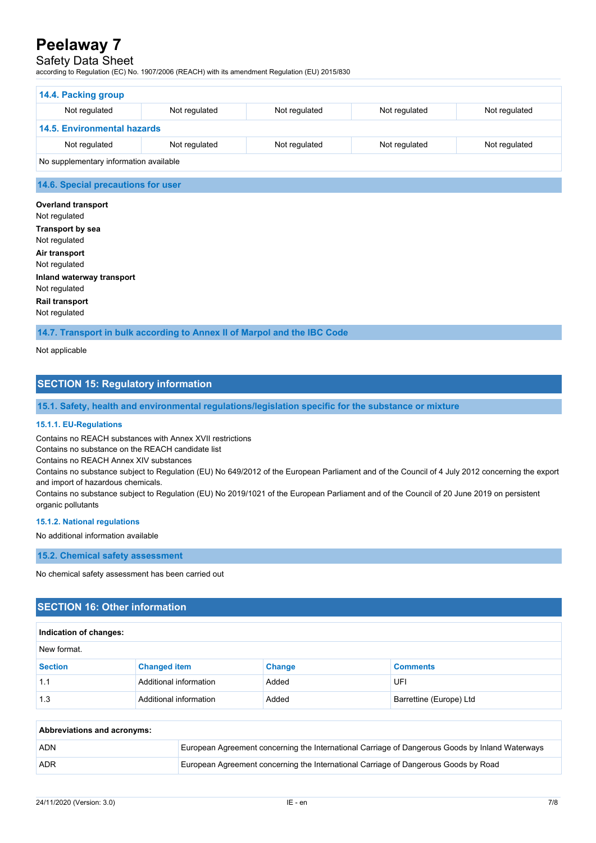# Safety Data Sheet

according to Regulation (EC) No. 1907/2006 (REACH) with its amendment Regulation (EU) 2015/830

| 14.4. Packing group                    |               |               |               |               |
|----------------------------------------|---------------|---------------|---------------|---------------|
| Not regulated                          | Not regulated | Not regulated | Not regulated | Not regulated |
| <b>14.5. Environmental hazards</b>     |               |               |               |               |
| Not regulated                          | Not regulated | Not regulated | Not regulated | Not regulated |
| No supplementary information available |               |               |               |               |

## **14.6. Special precautions for user**

**Overland transport** Not regulated **Transport by sea** Not regulated **Air transport** Not regulated **Inland waterway transport** Not regulated **Rail transport** Not regulated

**14.7. Transport in bulk according to Annex II of Marpol and the IBC Code**

Not applicable

## **SECTION 15: Regulatory information**

**15.1. Safety, health and environmental regulations/legislation specific for the substance or mixture**

#### **15.1.1. EU-Regulations**

Contains no REACH substances with Annex XVII restrictions

Contains no substance on the REACH candidate list

Contains no REACH Annex XIV substances

Contains no substance subject to Regulation (EU) No 649/2012 of the European Parliament and of the Council of 4 July 2012 concerning the export and import of hazardous chemicals.

Contains no substance subject to Regulation (EU) No 2019/1021 of the European Parliament and of the Council of 20 June 2019 on persistent organic pollutants

#### **15.1.2. National regulations**

No additional information available

#### **15.2. Chemical safety assessment**

No chemical safety assessment has been carried out

## **SECTION 16: Other information**

### **Indication of changes:**

| New format.    |                        |               |                         |
|----------------|------------------------|---------------|-------------------------|
| <b>Section</b> | <b>Changed item</b>    | <b>Change</b> | <b>Comments</b>         |
| 1.1            | Additional information | Added         | UFI                     |
| 1.3            | Additional information | Added         | Barrettine (Europe) Ltd |

| Abbreviations and acronyms: |                                                                                                 |  |
|-----------------------------|-------------------------------------------------------------------------------------------------|--|
| <b>ADN</b>                  | European Agreement concerning the International Carriage of Dangerous Goods by Inland Waterways |  |
| <b>ADR</b>                  | European Agreement concerning the International Carriage of Dangerous Goods by Road             |  |